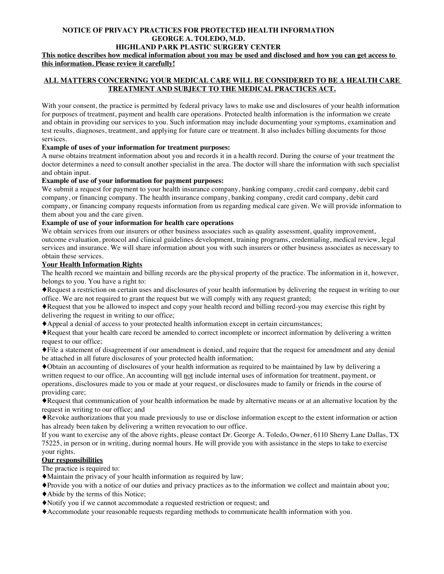#### **NOTICE OF PRIVACY PRACTICES FOR PROTECTED HEALTH INFORMATION GEORGE A. TOLEDO, M.D. HIGHLAND PARK PLASTIC SURGERY CENTER**

**This notice describes how medical information about you may be used and disclosed and how you can get access to this information. Please review it carefully!**

# **ALL MATTERS CONCERNING YOUR MEDICAL CARE WILL BE CONSIDERED TO BE A HEALTH CARE TREATMENT AND SUBJECT TO THE MEDICAL PRACTICES ACT.**

With your consent, the practice is permitted by federal privacy laws to make use and disclosures of your health information for purposes of treatment, payment and health care operations. Protected health information is the information we create and obtain in providing our services to you. Such information may include documenting your symptoms, examination and test results, diagnoses, treatment, and applying for future care or treatment. It also includes billing documents for those services.

## **Example of uses of your information for treatment purposes:**

A nurse obtains treatment information about you and records it in a health record. During the course of your treatment the doctor determines a need to consult another specialist in the area. The doctor will share the information with such specialist and obtain input.

### **Example of use of your information for payment purposes:**

We submit a request for payment to your health insurance company, banking company, credit card company, debit card company, or financing company. The health insurance company, banking company, credit card company, debit card company, or financing company requests information from us regarding medical care given. We will provide information to them about you and the care given.

### **Example of use of your information for health care operations**

We obtain services from our insurers or other business associates such as quality assessment, quality improvement, outcome evaluation, protocol and clinical guidelines development, training programs, credentialing, medical review, legal services and insurance. We will share information about you with such insurers or other business associates as necessary to obtain these services.

### **Your Health Information Rights**

The health record we maintain and billing records are the physical property of the practice. The information in it, however, belongs to you. You have a right to:

♦Request a restriction on certain uses and disclosures of your health information by delivering the request in writing to our office. We are not required to grant the request but we will comply with any request granted;

♦Request that you be allowed to inspect and copy your health record and billing record-you may exercise this right by delivering the request in writing to our office;

♦Appeal a denial of access to your protected health information except in certain circumstances;

♦Request that your health care record be amended to correct incomplete or incorrect information by delivering a written request to our office;

♦File a statement of disagreement if our amendment is denied, and require that the request for amendment and any denial be attached in all future disclosures of your protected health information;

♦Obtain an accounting of disclosures of your health information as required to be maintained by law by delivering a written request to our office. An accounting will not include internal uses of information for treatment, payment, or operations, disclosures made to you or made at your request, or disclosures made to family or friends in the course of providing care;

♦Request that communication of your health information be made by alternative means or at an alternative location by the request in writing to our office; and

♦Revoke authorizations that you made previously to use or disclose information except to the extent information or action has already been taken by delivering a written revocation to our office.

If you want to exercise any of the above rights, please contact Dr. George A. Toledo, Owner, 6110 Sherry Lane Dallas, TX 75225, in person or in writing, during normal hours. He will provide you with assistance in the steps to take to exercise your rights.

### **Our responsibilities**

The practice is required to:

♦Maintain the privacy of your health information as required by law;

- ♦Provide you with a notice of our duties and privacy practices as to the information we collect and maintain about you;
- ♦Abide by the terms of this Notice;
- ♦Notify you if we cannot accommodate a requested restriction or request; and
- ♦Accommodate your reasonable requests regarding methods to communicate health information with you.